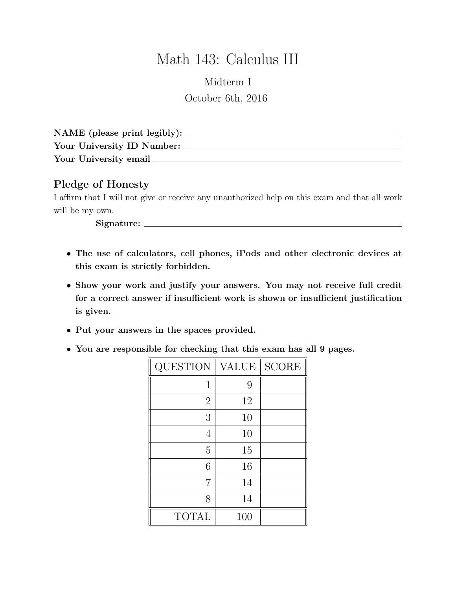## Math 143: Calculus III

## Midterm I October 6th, 2016

| NAME (please print legibly): |  |
|------------------------------|--|
| Your University ID Number:   |  |
| Your University email        |  |

## Pledge of Honesty

I affirm that I will not give or receive any unauthorized help on this exam and that all work will be my own.

Signature:

- The use of calculators, cell phones, iPods and other electronic devices at this exam is strictly forbidden.
- Show your work and justify your answers. You may not receive full credit for a correct answer if insufficient work is shown or insufficient justification is given.
- Put your answers in the spaces provided.
- You are responsible for checking that this exam has all 9 pages.

| QUESTION       | VALUE | <b>SCORE</b> |
|----------------|-------|--------------|
| 1              | 9     |              |
| $\overline{2}$ | 12    |              |
| 3              | 10    |              |
| 4              | 10    |              |
| 5              | 15    |              |
| 6              | 16    |              |
| 7              | 14    |              |
| 8              | 14    |              |
| <b>TOTAL</b>   | 100   |              |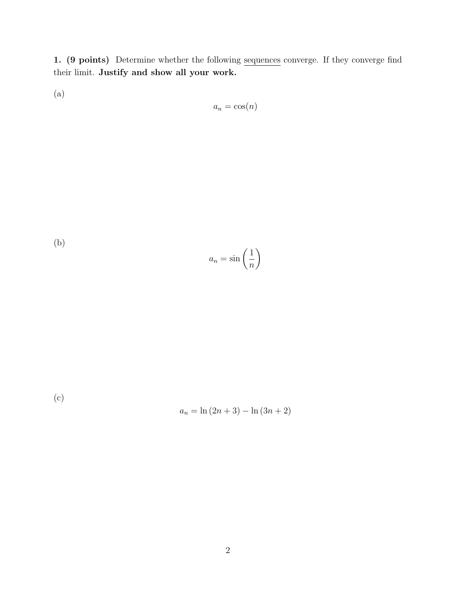1. (9 points) Determine whether the following sequences converge. If they converge find their limit. Justify and show all your work.

(a)

$$
a_n = \cos(n)
$$

(b) 
$$
a_n = \sin\left(\frac{1}{n}\right)
$$

(c)

$$
a_n = \ln(2n + 3) - \ln(3n + 2)
$$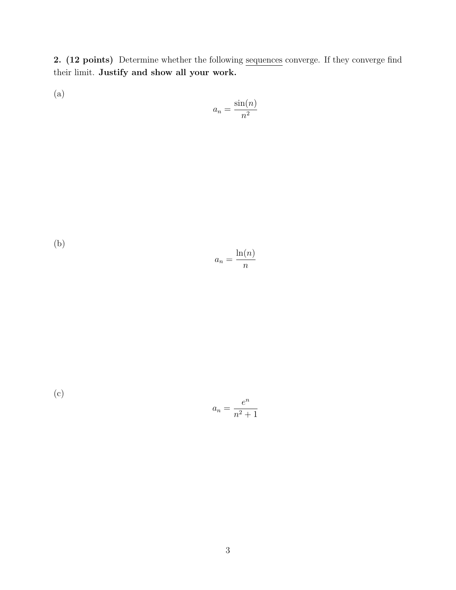2. (12 points) Determine whether the following sequences converge. If they converge find their limit. Justify and show all your work.

(a)

$$
a_n = \frac{\sin(n)}{n^2}
$$

(b)  $a_n =$  $ln(n)$ n

(c) 
$$
a_n = \frac{e^n}{n^2 + 1}
$$

$$
n^2 +
$$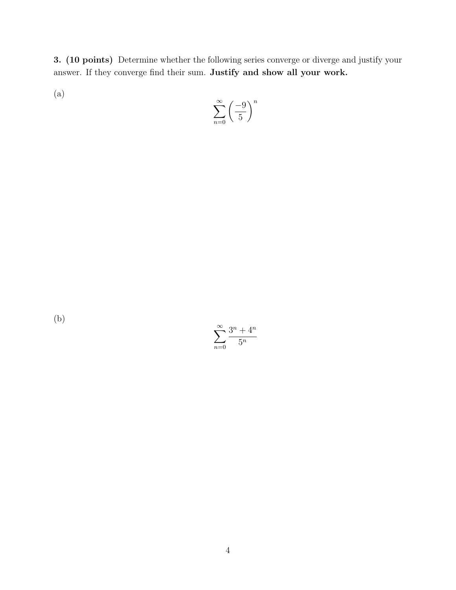3. (10 points) Determine whether the following series converge or diverge and justify your answer. If they converge find their sum. Justify and show all your work.

(a)

$$
\sum_{n=0}^{\infty} \left(\frac{-9}{5}\right)^n
$$

 $\sum^{\infty}$  $n=0$  $3^n + 4^n$  $5^n$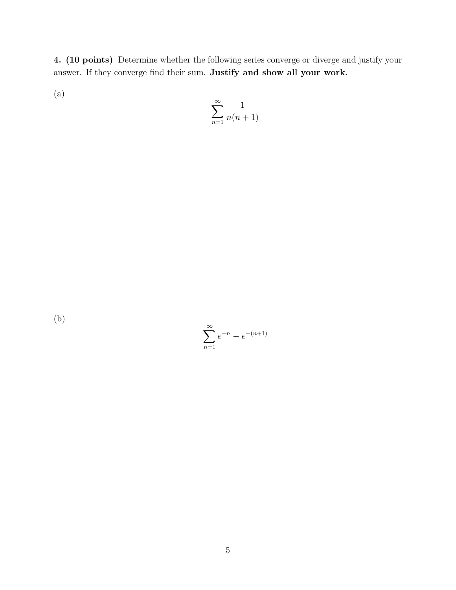4. (10 points) Determine whether the following series converge or diverge and justify your answer. If they converge find their sum. Justify and show all your work.

(a)

$$
\sum_{n=1}^{\infty} \frac{1}{n(n+1)}
$$

 $\sum^{\infty}$  $n=1$  $e^{-n} - e^{-(n+1)}$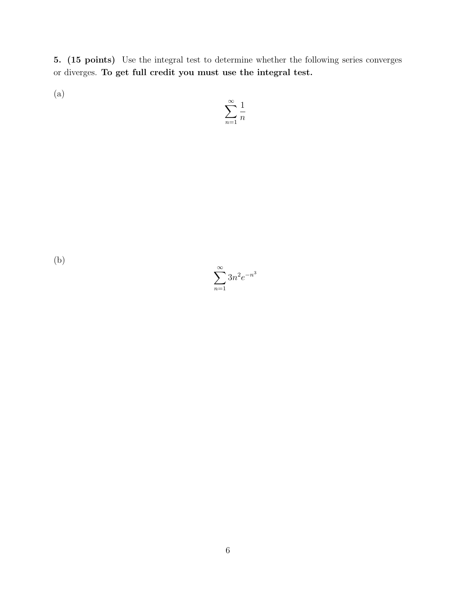5. (15 points) Use the integral test to determine whether the following series converges or diverges. To get full credit you must use the integral test.

(a)

$$
\sum_{n=1}^{\infty} \frac{1}{n}
$$

$$
\sum_{n=1}^{\infty} 3n^2 e^{-n^3}
$$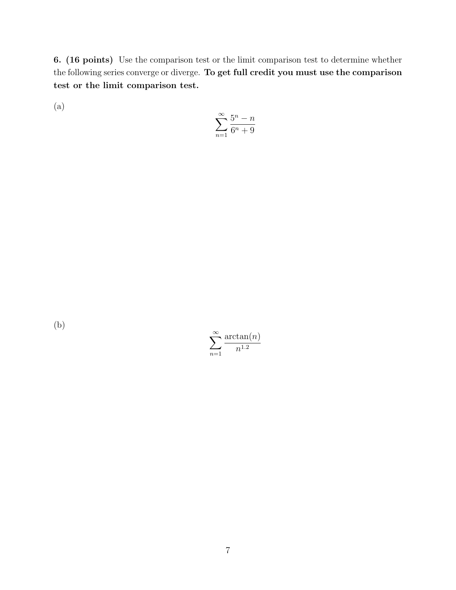6. (16 points) Use the comparison test or the limit comparison test to determine whether the following series converge or diverge. To get full credit you must use the comparison test or the limit comparison test.

(a)

$$
\sum_{n=1}^\infty \frac{5^n-n}{6^n+9}
$$

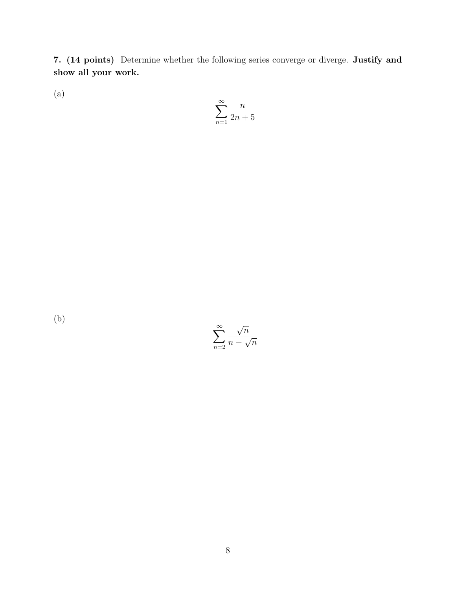7. (14 points) Determine whether the following series converge or diverge. Justify and show all your work.

(a)

$$
\sum_{n=1}^{\infty} \frac{n}{2n+5}
$$

 $\sum^{\infty}$  $n=2$ √  $\overline{n}$  $\overline{n}$  −  $\frac{v}{\sqrt{2}}$  $\overline{n}$